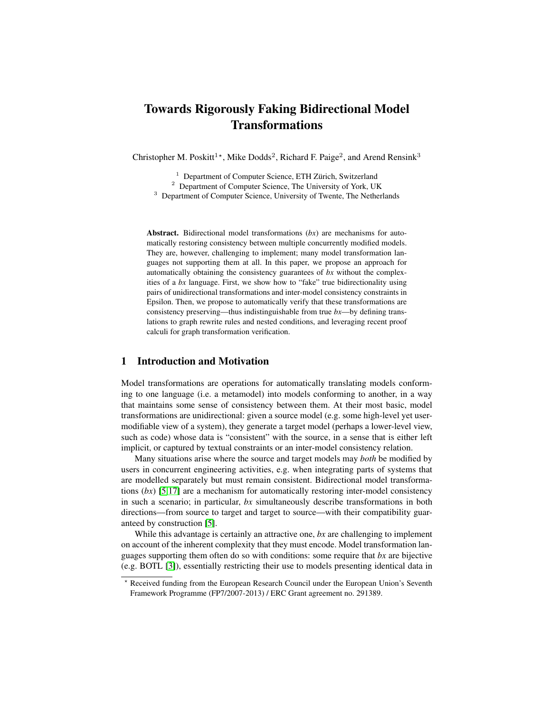# Towards Rigorously Faking Bidirectional Model Transformations

Christopher M. Poskitt<sup>1</sup>\*, Mike Dodds<sup>2</sup>, Richard F. Paige<sup>2</sup>, and Arend Rensink<sup>3</sup>

 $1$  Department of Computer Science, ETH Zürich, Switzerland

<sup>2</sup> Department of Computer Science, The University of York, UK

<sup>3</sup> Department of Computer Science, University of Twente, The Netherlands

Abstract. Bidirectional model transformations (*bx*) are mechanisms for automatically restoring consistency between multiple concurrently modified models. They are, however, challenging to implement; many model transformation languages not supporting them at all. In this paper, we propose an approach for automatically obtaining the consistency guarantees of *bx* without the complexities of a *bx* language. First, we show how to "fake" true bidirectionality using pairs of unidirectional transformations and inter-model consistency constraints in Epsilon. Then, we propose to automatically verify that these transformations are consistency preserving—thus indistinguishable from true *bx*—by defining translations to graph rewrite rules and nested conditions, and leveraging recent proof calculi for graph transformation verification.

# 1 Introduction and Motivation

Model transformations are operations for automatically translating models conforming to one language (i.e. a metamodel) into models conforming to another, in a way that maintains some sense of consistency between them. At their most basic, model transformations are unidirectional: given a source model (e.g. some high-level yet usermodifiable view of a system), they generate a target model (perhaps a lower-level view, such as code) whose data is "consistent" with the source, in a sense that is either left implicit, or captured by textual constraints or an inter-model consistency relation.

Many situations arise where the source and target models may *both* be modified by users in concurrent engineering activities, e.g. when integrating parts of systems that are modelled separately but must remain consistent. Bidirectional model transformations (*bx*) [\[5,](#page-5-0)[17\]](#page-5-1) are a mechanism for automatically restoring inter-model consistency in such a scenario; in particular, *bx* simultaneously describe transformations in both directions—from source to target and target to source—with their compatibility guaranteed by construction [\[5\]](#page-5-0).

While this advantage is certainly an attractive one, *bx* are challenging to implement on account of the inherent complexity that they must encode. Model transformation languages supporting them often do so with conditions: some require that *bx* are bijective (e.g. BOTL [\[3\]](#page-5-2)), essentially restricting their use to models presenting identical data in

<sup>?</sup> Received funding from the European Research Council under the European Union's Seventh Framework Programme (FP7/2007-2013) / ERC Grant agreement no. 291389.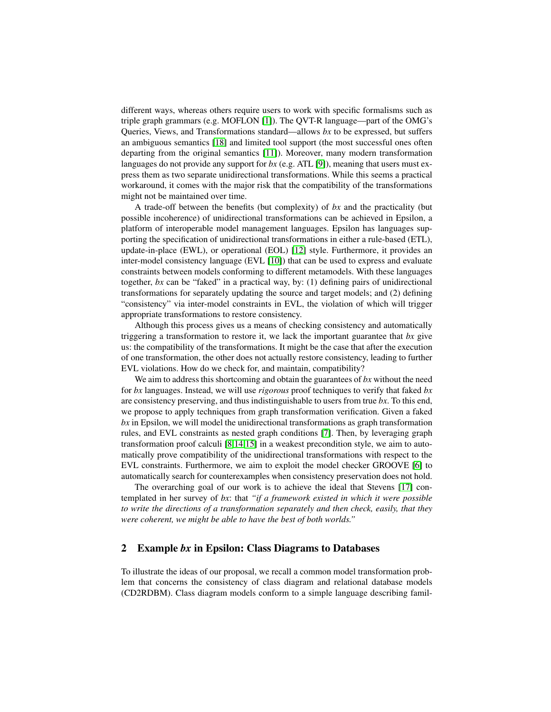different ways, whereas others require users to work with specific formalisms such as triple graph grammars (e.g. MOFLON [\[1\]](#page-5-3)). The QVT-R language—part of the OMG's Queries, Views, and Transformations standard—allows *bx* to be expressed, but suffers an ambiguous semantics [\[18\]](#page-5-4) and limited tool support (the most successful ones often departing from the original semantics [\[11\]](#page-5-5)). Moreover, many modern transformation languages do not provide any support for *bx* (e.g. ATL [\[9\]](#page-5-6)), meaning that users must express them as two separate unidirectional transformations. While this seems a practical workaround, it comes with the major risk that the compatibility of the transformations might not be maintained over time.

A trade-off between the benefits (but complexity) of *bx* and the practicality (but possible incoherence) of unidirectional transformations can be achieved in Epsilon, a platform of interoperable model management languages. Epsilon has languages supporting the specification of unidirectional transformations in either a rule-based (ETL), update-in-place (EWL), or operational (EOL) [\[12\]](#page-5-7) style. Furthermore, it provides an inter-model consistency language (EVL [\[10\]](#page-5-8)) that can be used to express and evaluate constraints between models conforming to different metamodels. With these languages together, *bx* can be "faked" in a practical way, by: (1) defining pairs of unidirectional transformations for separately updating the source and target models; and (2) defining "consistency" via inter-model constraints in EVL, the violation of which will trigger appropriate transformations to restore consistency.

Although this process gives us a means of checking consistency and automatically triggering a transformation to restore it, we lack the important guarantee that *bx* give us: the compatibility of the transformations. It might be the case that after the execution of one transformation, the other does not actually restore consistency, leading to further EVL violations. How do we check for, and maintain, compatibility?

We aim to address this shortcoming and obtain the guarantees of *bx* without the need for *bx* languages. Instead, we will use *rigorous* proof techniques to verify that faked *bx* are consistency preserving, and thus indistinguishable to users from true *bx*. To this end, we propose to apply techniques from graph transformation verification. Given a faked *bx* in Epsilon, we will model the unidirectional transformations as graph transformation rules, and EVL constraints as nested graph conditions [\[7\]](#page-5-9). Then, by leveraging graph transformation proof calculi [\[8](#page-5-10)[,14](#page-5-11)[,15\]](#page-5-12) in a weakest precondition style, we aim to automatically prove compatibility of the unidirectional transformations with respect to the EVL constraints. Furthermore, we aim to exploit the model checker GROOVE [\[6\]](#page-5-13) to automatically search for counterexamples when consistency preservation does not hold.

The overarching goal of our work is to achieve the ideal that Stevens [\[17\]](#page-5-1) contemplated in her survey of *bx*: that *"if a framework existed in which it were possible to write the directions of a transformation separately and then check, easily, that they were coherent, we might be able to have the best of both worlds."*

## 2 Example *bx* in Epsilon: Class Diagrams to Databases

To illustrate the ideas of our proposal, we recall a common model transformation problem that concerns the consistency of class diagram and relational database models (CD2RDBM). Class diagram models conform to a simple language describing famil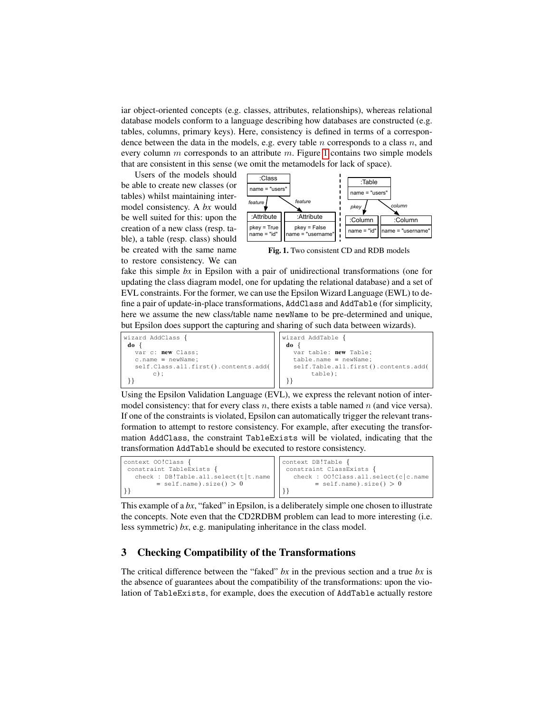iar object-oriented concepts (e.g. classes, attributes, relationships), whereas relational database models conform to a language describing how databases are constructed (e.g. tables, columns, primary keys). Here, consistency is defined in terms of a correspondence between the data in the models, e.g. every table  $n$  corresponds to a class  $n$ , and every column  $m$  corresponds to an attribute  $m$ . Figure [1](#page-2-0) contains two simple models that are consistent in this sense (we omit the metamodels for lack of space).

Users of the models should be able to create new classes (or tables) whilst maintaining intermodel consistency. A *bx* would be well suited for this: upon the creation of a new class (resp. table), a table (resp. class) should be created with the same name to restore consistency. We can



<span id="page-2-0"></span>Fig. 1. Two consistent CD and RDB models

fake this simple *bx* in Epsilon with a pair of unidirectional transformations (one for updating the class diagram model, one for updating the relational database) and a set of EVL constraints. For the former, we can use the Epsilon Wizard Language (EWL) to define a pair of update-in-place transformations, AddClass and AddTable (for simplicity, here we assume the new class/table name newName to be pre-determined and unique, but Epsilon does support the capturing and sharing of such data between wizards).



Using the Epsilon Validation Language (EVL), we express the relevant notion of intermodel consistency: that for every class n, there exists a table named n (and vice versa). If one of the constraints is violated, Epsilon can automatically trigger the relevant transformation to attempt to restore consistency. For example, after executing the transformation AddClass, the constraint TableExists will be violated, indicating that the transformation AddTable should be executed to restore consistency.

| context 00!Class {<br>constraint TableExists {<br>check : DB!Table.all.select(t t.name | context DB!Table {<br>constraint ClassExists {<br>check : 00!Class.all.select(c c.name |
|----------------------------------------------------------------------------------------|----------------------------------------------------------------------------------------|
| $=$ self.name).size() > 0                                                              | $=$ self.name).size() $> 0$                                                            |
|                                                                                        |                                                                                        |

This example of a *bx*, "faked" in Epsilon, is a deliberately simple one chosen to illustrate the concepts. Note even that the CD2RDBM problem can lead to more interesting (i.e. less symmetric) *bx*, e.g. manipulating inheritance in the class model.

# 3 Checking Compatibility of the Transformations

The critical difference between the "faked" *bx* in the previous section and a true *bx* is the absence of guarantees about the compatibility of the transformations: upon the violation of TableExists, for example, does the execution of AddTable actually restore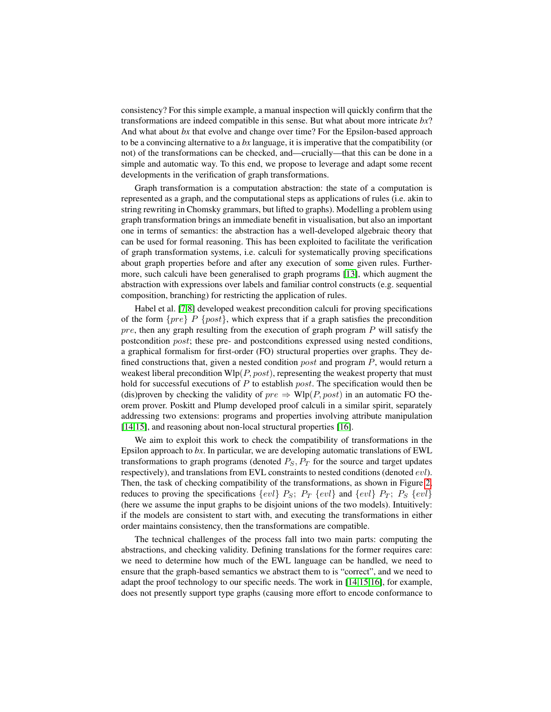consistency? For this simple example, a manual inspection will quickly confirm that the transformations are indeed compatible in this sense. But what about more intricate *bx*? And what about *bx* that evolve and change over time? For the Epsilon-based approach to be a convincing alternative to a *bx* language, it is imperative that the compatibility (or not) of the transformations can be checked, and—crucially—that this can be done in a simple and automatic way. To this end, we propose to leverage and adapt some recent developments in the verification of graph transformations.

Graph transformation is a computation abstraction: the state of a computation is represented as a graph, and the computational steps as applications of rules (i.e. akin to string rewriting in Chomsky grammars, but lifted to graphs). Modelling a problem using graph transformation brings an immediate benefit in visualisation, but also an important one in terms of semantics: the abstraction has a well-developed algebraic theory that can be used for formal reasoning. This has been exploited to facilitate the verification of graph transformation systems, i.e. calculi for systematically proving specifications about graph properties before and after any execution of some given rules. Furthermore, such calculi have been generalised to graph programs [\[13\]](#page-5-14), which augment the abstraction with expressions over labels and familiar control constructs (e.g. sequential composition, branching) for restricting the application of rules.

Habel et al. [\[7,](#page-5-9)[8\]](#page-5-10) developed weakest precondition calculi for proving specifications of the form  $\{pre\}$  P  $\{post\}$ , which express that if a graph satisfies the precondition  $pre$ , then any graph resulting from the execution of graph program  $P$  will satisfy the postcondition post; these pre- and postconditions expressed using nested conditions, a graphical formalism for first-order (FO) structural properties over graphs. They defined constructions that, given a nested condition  $post$  and program P, would return a weakest liberal precondition  $Wlp(P, post)$ , representing the weakest property that must hold for successful executions of  $P$  to establish *post*. The specification would then be (dis)proven by checking the validity of  $pre \Rightarrow \text{Wlp}(P, post)$  in an automatic FO theorem prover. Poskitt and Plump developed proof calculi in a similar spirit, separately addressing two extensions: programs and properties involving attribute manipulation [\[14,](#page-5-11)[15\]](#page-5-12), and reasoning about non-local structural properties [\[16\]](#page-5-15).

We aim to exploit this work to check the compatibility of transformations in the Epsilon approach to *bx*. In particular, we are developing automatic translations of EWL transformations to graph programs (denoted  $P_S$ ,  $P_T$  for the source and target updates respectively), and translations from EVL constraints to nested conditions (denoted evl). Then, the task of checking compatibility of the transformations, as shown in Figure [2,](#page-4-0) reduces to proving the specifications  $\{evl\}$   $P_S$ ;  $P_T$   $\{evl\}$  and  $\{evl\}$   $P_T$ ;  $P_S$   $\{evl\}$ (here we assume the input graphs to be disjoint unions of the two models). Intuitively: if the models are consistent to start with, and executing the transformations in either order maintains consistency, then the transformations are compatible.

The technical challenges of the process fall into two main parts: computing the abstractions, and checking validity. Defining translations for the former requires care: we need to determine how much of the EWL language can be handled, we need to ensure that the graph-based semantics we abstract them to is "correct", and we need to adapt the proof technology to our specific needs. The work in [\[14](#page-5-11)[,15](#page-5-12)[,16\]](#page-5-15), for example, does not presently support type graphs (causing more effort to encode conformance to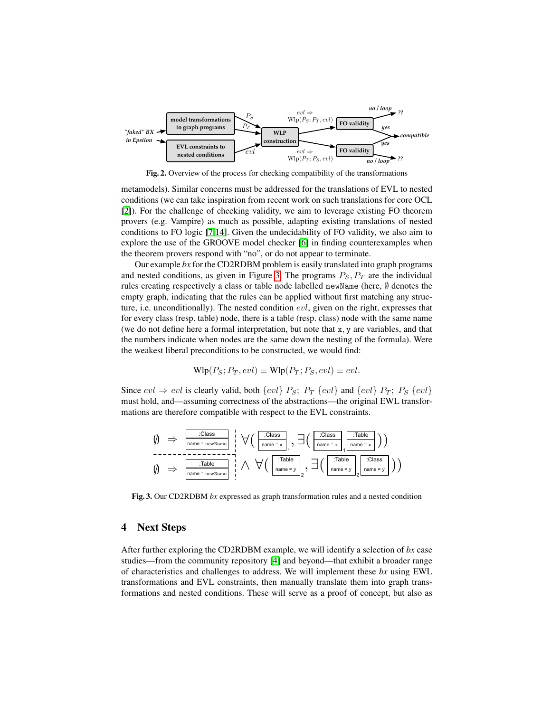

<span id="page-4-0"></span>Fig. 2. Overview of the process for checking compatibility of the transformations

metamodels). Similar concerns must be addressed for the translations of EVL to nested conditions (we can take inspiration from recent work on such translations for core OCL [\[2\]](#page-5-16)). For the challenge of checking validity, we aim to leverage existing FO theorem provers (e.g. Vampire) as much as possible, adapting existing translations of nested conditions to FO logic [\[7,](#page-5-9)[14\]](#page-5-11). Given the undecidability of FO validity, we also aim to explore the use of the GROOVE model checker [\[6\]](#page-5-13) in finding counterexamples when the theorem provers respond with "no", or do not appear to terminate.

Our example *bx* for the CD2RDBM problem is easily translated into graph programs and nested conditions, as given in Figure [3.](#page-4-1) The programs  $P_S$ ,  $P_T$  are the individual rules creating respectively a class or table node labelled newName (here, ∅ denotes the empty graph, indicating that the rules can be applied without first matching any structure, i.e. unconditionally). The nested condition  $evl$ , given on the right, expresses that for every class (resp. table) node, there is a table (resp. class) node with the same name (we do not define here a formal interpretation, but note that x, y are variables, and that the numbers indicate when nodes are the same down the nesting of the formula). Were the weakest liberal preconditions to be constructed, we would find:

$$
\text{Wlp}(P_S; P_T, evl) \equiv \text{Wlp}(P_T; P_S, evl) \equiv evl.
$$

Since  $evl \Rightarrow evl$  is clearly valid, both  $\{evl\}$   $P_S$ ;  $P_T$   $\{evl\}$  and  $\{evl\}$   $P_T$ ;  $P_S$   $\{evl\}$ must hold, and—assuming correctness of the abstractions—the original EWL transformations are therefore compatible with respect to the EVL constraints.

$$
\begin{array}{rcl}\n\emptyset & \Rightarrow & \frac{\text{:Class}}{\text{name = newName}} \\
\downarrow & \forall \big( \text{ } \frac{\text{:Class}}{\text{name = x}} \big, \exists \big( \text{ } \frac{\text{:Class}}{\text{name = x}} \big) \text{ :} \text{ \text{Table}} \\
\uparrow & \text{name = x} \big) \big) \\
\emptyset & \Rightarrow & \boxed{\text{name = newName}} \\
\emptyset & \Rightarrow & \text{name = newName}} \\
\end{array}
$$

<span id="page-4-1"></span>Fig. 3. Our CD2RDBM *bx* expressed as graph transformation rules and a nested condition

#### 4 Next Steps

After further exploring the CD2RDBM example, we will identify a selection of *bx* case studies—from the community repository [\[4\]](#page-5-17) and beyond—that exhibit a broader range of characteristics and challenges to address. We will implement these *bx* using EWL transformations and EVL constraints, then manually translate them into graph transformations and nested conditions. These will serve as a proof of concept, but also as